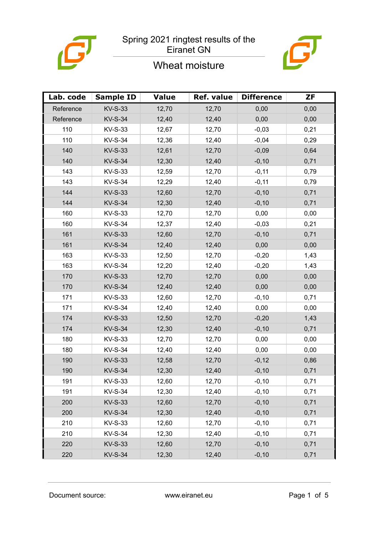



# Wheat moisture

| Lab. code | <b>Sample ID</b> | <b>Value</b> | Ref. value | <b>Difference</b> | <b>ZF</b> |
|-----------|------------------|--------------|------------|-------------------|-----------|
| Reference | <b>KV-S-33</b>   | 12,70        | 12,70      | 0,00              | 0,00      |
| Reference | <b>KV-S-34</b>   | 12,40        | 12,40      | 0,00              | 0,00      |
| 110       | <b>KV-S-33</b>   | 12,67        | 12,70      | $-0,03$           | 0,21      |
| 110       | <b>KV-S-34</b>   | 12,36        | 12,40      | $-0,04$           | 0,29      |
| 140       | <b>KV-S-33</b>   | 12,61        | 12,70      | $-0,09$           | 0,64      |
| 140       | <b>KV-S-34</b>   | 12,30        | 12,40      | $-0,10$           | 0,71      |
| 143       | <b>KV-S-33</b>   | 12,59        | 12,70      | $-0,11$           | 0,79      |
| 143       | <b>KV-S-34</b>   | 12,29        | 12,40      | $-0,11$           | 0,79      |
| 144       | <b>KV-S-33</b>   | 12,60        | 12,70      | $-0,10$           | 0,71      |
| 144       | <b>KV-S-34</b>   | 12,30        | 12,40      | $-0,10$           | 0,71      |
| 160       | <b>KV-S-33</b>   | 12,70        | 12,70      | 0,00              | 0,00      |
| 160       | <b>KV-S-34</b>   | 12,37        | 12,40      | $-0,03$           | 0,21      |
| 161       | <b>KV-S-33</b>   | 12,60        | 12,70      | $-0,10$           | 0,71      |
| 161       | <b>KV-S-34</b>   | 12,40        | 12,40      | 0,00              | 0,00      |
| 163       | <b>KV-S-33</b>   | 12,50        | 12,70      | $-0,20$           | 1,43      |
| 163       | <b>KV-S-34</b>   | 12,20        | 12,40      | $-0,20$           | 1,43      |
| 170       | <b>KV-S-33</b>   | 12,70        | 12,70      | 0,00              | 0,00      |
| 170       | <b>KV-S-34</b>   | 12,40        | 12,40      | 0,00              | 0,00      |
| 171       | <b>KV-S-33</b>   | 12,60        | 12,70      | $-0,10$           | 0,71      |
| 171       | <b>KV-S-34</b>   | 12,40        | 12,40      | 0,00              | 0,00      |
| 174       | <b>KV-S-33</b>   | 12,50        | 12,70      | $-0,20$           | 1,43      |
| 174       | <b>KV-S-34</b>   | 12,30        | 12,40      | $-0,10$           | 0,71      |
| 180       | <b>KV-S-33</b>   | 12,70        | 12,70      | 0,00              | 0,00      |
| 180       | <b>KV-S-34</b>   | 12,40        | 12,40      | 0,00              | 0,00      |
| 190       | <b>KV-S-33</b>   | 12,58        | 12,70      | $-0,12$           | 0,86      |
| 190       | <b>KV-S-34</b>   | 12,30        | 12,40      | $-0,10$           | 0,71      |
| 191       | KV-S-33          | 12,60        | 12,70      | $-0,10$           | 0,71      |
| 191       | <b>KV-S-34</b>   | 12,30        | 12,40      | $-0,10$           | 0,71      |
| 200       | <b>KV-S-33</b>   | 12,60        | 12,70      | $-0,10$           | 0,71      |
| 200       | <b>KV-S-34</b>   | 12,30        | 12,40      | $-0,10$           | 0,71      |
| 210       | <b>KV-S-33</b>   | 12,60        | 12,70      | $-0,10$           | 0,71      |
| 210       | <b>KV-S-34</b>   | 12,30        | 12,40      | $-0,10$           | 0,71      |
| 220       | <b>KV-S-33</b>   | 12,60        | 12,70      | $-0,10$           | 0,71      |
| 220       | <b>KV-S-34</b>   | 12,30        | 12,40      | $-0,10$           | 0,71      |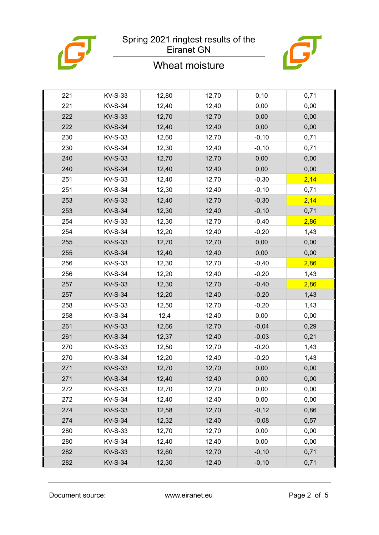

### Wheat moisture



| 221 | <b>KV-S-33</b> | 12,80 | 12,70 | 0,10    | 0,71 |
|-----|----------------|-------|-------|---------|------|
| 221 | <b>KV-S-34</b> | 12,40 | 12,40 | 0,00    | 0,00 |
| 222 | <b>KV-S-33</b> | 12,70 | 12,70 | 0,00    | 0,00 |
| 222 | <b>KV-S-34</b> | 12,40 | 12,40 | 0,00    | 0,00 |
| 230 | KV-S-33        | 12,60 | 12,70 | $-0,10$ | 0,71 |
| 230 | <b>KV-S-34</b> | 12,30 | 12,40 | $-0,10$ | 0,71 |
| 240 | <b>KV-S-33</b> | 12,70 | 12,70 | 0,00    | 0,00 |
| 240 | <b>KV-S-34</b> | 12,40 | 12,40 | 0,00    | 0,00 |
| 251 | <b>KV-S-33</b> | 12,40 | 12,70 | $-0,30$ | 2,14 |
| 251 | <b>KV-S-34</b> | 12,30 | 12,40 | $-0,10$ | 0,71 |
| 253 | <b>KV-S-33</b> | 12,40 | 12,70 | $-0,30$ | 2,14 |
| 253 | <b>KV-S-34</b> | 12,30 | 12,40 | $-0,10$ | 0,71 |
| 254 | <b>KV-S-33</b> | 12,30 | 12,70 | $-0,40$ | 2,86 |
| 254 | <b>KV-S-34</b> | 12,20 | 12,40 | $-0,20$ | 1,43 |
| 255 | <b>KV-S-33</b> | 12,70 | 12,70 | 0,00    | 0,00 |
| 255 | <b>KV-S-34</b> | 12,40 | 12,40 | 0,00    | 0,00 |
| 256 | <b>KV-S-33</b> | 12,30 | 12,70 | $-0,40$ | 2,86 |
| 256 | <b>KV-S-34</b> | 12,20 | 12,40 | $-0,20$ | 1,43 |
| 257 | <b>KV-S-33</b> | 12,30 | 12,70 | $-0,40$ | 2,86 |
| 257 | <b>KV-S-34</b> | 12,20 | 12,40 | $-0,20$ | 1,43 |
| 258 | <b>KV-S-33</b> | 12,50 | 12,70 | $-0,20$ | 1,43 |
| 258 | <b>KV-S-34</b> | 12,4  | 12,40 | 0,00    | 0,00 |
| 261 | <b>KV-S-33</b> | 12,66 | 12,70 | $-0,04$ | 0,29 |
| 261 | <b>KV-S-34</b> | 12,37 | 12,40 | $-0,03$ | 0,21 |
| 270 | KV-S-33        | 12,50 | 12,70 | $-0,20$ | 1,43 |
| 270 | <b>KV-S-34</b> | 12,20 | 12,40 | $-0,20$ | 1,43 |
| 271 | <b>KV-S-33</b> | 12,70 | 12,70 | 0,00    | 0,00 |
| 271 | <b>KV-S-34</b> | 12,40 | 12,40 | 0,00    | 0,00 |
| 272 | <b>KV-S-33</b> | 12,70 | 12,70 | 0,00    | 0,00 |
| 272 | <b>KV-S-34</b> | 12,40 | 12,40 | 0,00    | 0,00 |
| 274 | <b>KV-S-33</b> | 12,58 | 12,70 | $-0,12$ | 0,86 |
| 274 | <b>KV-S-34</b> | 12,32 | 12,40 | $-0,08$ | 0,57 |
| 280 | KV-S-33        | 12,70 | 12,70 | 0,00    | 0,00 |
| 280 | <b>KV-S-34</b> | 12,40 | 12,40 | 0,00    | 0,00 |
| 282 | <b>KV-S-33</b> | 12,60 | 12,70 | $-0,10$ | 0,71 |
| 282 | <b>KV-S-34</b> | 12,30 | 12,40 | $-0,10$ | 0,71 |
|     |                |       |       |         |      |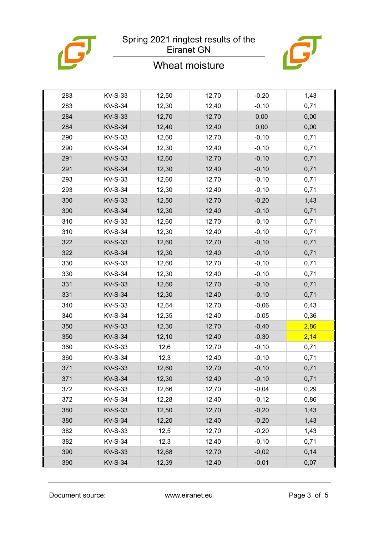

# Wheat moisture



| 283 | <b>KV-S-33</b> | 12,50 | 12,70 | $-0,20$  | 1,43 |
|-----|----------------|-------|-------|----------|------|
| 283 | <b>KV-S-34</b> | 12,30 | 12,40 | $-0,10$  | 0,71 |
| 284 | <b>KV-S-33</b> | 12,70 | 12,70 | 0,00     | 0,00 |
| 284 | <b>KV-S-34</b> | 12,40 | 12,40 | 0,00     | 0,00 |
| 290 | KV-S-33        | 12,60 | 12,70 | $-0, 10$ | 0,71 |
| 290 | <b>KV-S-34</b> | 12,30 | 12,40 | $-0,10$  | 0,71 |
| 291 | <b>KV-S-33</b> | 12,60 | 12,70 | $-0,10$  | 0,71 |
| 291 | <b>KV-S-34</b> | 12,30 | 12,40 | $-0,10$  | 0,71 |
| 293 | KV-S-33        | 12,60 | 12,70 | $-0,10$  | 0,71 |
| 293 | <b>KV-S-34</b> | 12,30 | 12,40 | $-0,10$  | 0,71 |
| 300 | <b>KV-S-33</b> | 12,50 | 12,70 | $-0,20$  | 1,43 |
| 300 | <b>KV-S-34</b> | 12,30 | 12,40 | $-0,10$  | 0,71 |
| 310 | KV-S-33        | 12,60 | 12,70 | $-0, 10$ | 0,71 |
| 310 | <b>KV-S-34</b> | 12,30 | 12,40 | $-0,10$  | 0,71 |
| 322 | <b>KV-S-33</b> | 12,60 | 12,70 | $-0,10$  | 0,71 |
| 322 | <b>KV-S-34</b> | 12,30 | 12,40 | $-0,10$  | 0,71 |
| 330 | KV-S-33        | 12,60 | 12,70 | $-0,10$  | 0,71 |
| 330 | <b>KV-S-34</b> | 12,30 | 12,40 | $-0,10$  | 0,71 |
| 331 | <b>KV-S-33</b> | 12,60 | 12,70 | $-0,10$  | 0,71 |
| 331 | <b>KV-S-34</b> | 12,30 | 12,40 | $-0,10$  | 0,71 |
| 340 | KV-S-33        | 12,64 | 12,70 | $-0,06$  | 0,43 |
| 340 | <b>KV-S-34</b> | 12,35 | 12,40 | $-0,05$  | 0,36 |
| 350 | <b>KV-S-33</b> | 12,30 | 12,70 | $-0,40$  | 2,86 |
| 350 | <b>KV-S-34</b> | 12,10 | 12,40 | $-0,30$  | 2,14 |
| 360 | <b>KV-S-33</b> | 12,6  | 12,70 | $-0, 10$ | 0,71 |
| 360 | <b>KV-S-34</b> | 12,3  | 12,40 | $-0,10$  | 0,71 |
| 371 | <b>KV-S-33</b> | 12,60 | 12,70 | $-0,10$  | 0,71 |
| 371 | <b>KV-S-34</b> | 12,30 | 12,40 | $-0,10$  | 0,71 |
| 372 | KV-S-33        | 12,66 | 12,70 | $-0,04$  | 0,29 |
| 372 | <b>KV-S-34</b> | 12,28 | 12,40 | $-0,12$  | 0,86 |
| 380 | <b>KV-S-33</b> | 12,50 | 12,70 | $-0,20$  | 1,43 |
| 380 | <b>KV-S-34</b> | 12,20 | 12,40 | $-0,20$  | 1,43 |
| 382 | KV-S-33        | 12,5  | 12,70 | $-0,20$  | 1,43 |
| 382 | <b>KV-S-34</b> | 12,3  | 12,40 | $-0,10$  | 0,71 |
| 390 | <b>KV-S-33</b> | 12,68 | 12,70 | $-0,02$  | 0,14 |
| 390 | <b>KV-S-34</b> | 12,39 | 12,40 | $-0,01$  | 0,07 |
|     |                |       |       |          |      |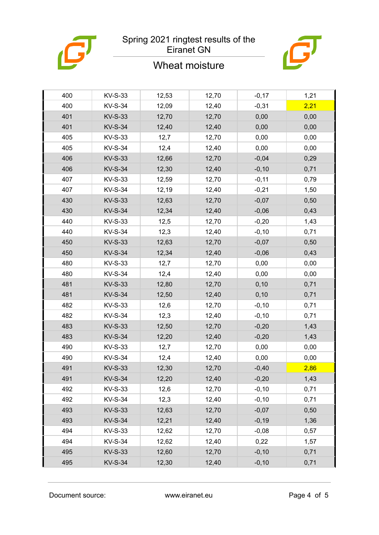

### Wheat moisture



| 400 | <b>KV-S-33</b> | 12,53 | 12,70 | $-0,17$  | 1,21 |
|-----|----------------|-------|-------|----------|------|
| 400 | <b>KV-S-34</b> | 12,09 | 12,40 | $-0,31$  | 2,21 |
| 401 | <b>KV-S-33</b> | 12,70 | 12,70 | 0,00     | 0,00 |
| 401 | <b>KV-S-34</b> | 12,40 | 12,40 | 0,00     | 0,00 |
| 405 | <b>KV-S-33</b> | 12,7  | 12,70 | 0,00     | 0,00 |
| 405 | <b>KV-S-34</b> | 12,4  | 12,40 | 0,00     | 0,00 |
| 406 | <b>KV-S-33</b> | 12,66 | 12,70 | $-0,04$  | 0,29 |
| 406 | <b>KV-S-34</b> | 12,30 | 12,40 | $-0,10$  | 0,71 |
| 407 | <b>KV-S-33</b> | 12,59 | 12,70 | $-0,11$  | 0,79 |
| 407 | <b>KV-S-34</b> | 12,19 | 12,40 | $-0,21$  | 1,50 |
| 430 | <b>KV-S-33</b> | 12,63 | 12,70 | $-0,07$  | 0,50 |
| 430 | <b>KV-S-34</b> | 12,34 | 12,40 | $-0,06$  | 0,43 |
| 440 | <b>KV-S-33</b> | 12,5  | 12,70 | $-0,20$  | 1,43 |
| 440 | <b>KV-S-34</b> | 12,3  | 12,40 | $-0,10$  | 0,71 |
| 450 | <b>KV-S-33</b> | 12,63 | 12,70 | $-0,07$  | 0,50 |
| 450 | <b>KV-S-34</b> | 12,34 | 12,40 | $-0,06$  | 0,43 |
| 480 | <b>KV-S-33</b> | 12,7  | 12,70 | 0,00     | 0,00 |
| 480 | <b>KV-S-34</b> | 12,4  | 12,40 | 0,00     | 0,00 |
| 481 | <b>KV-S-33</b> | 12,80 | 12,70 | 0,10     | 0,71 |
| 481 | <b>KV-S-34</b> | 12,50 | 12,40 | 0,10     | 0,71 |
| 482 | <b>KV-S-33</b> | 12,6  | 12,70 | $-0,10$  | 0,71 |
| 482 | <b>KV-S-34</b> | 12,3  | 12,40 | $-0,10$  | 0,71 |
| 483 | <b>KV-S-33</b> | 12,50 | 12,70 | $-0,20$  | 1,43 |
| 483 | <b>KV-S-34</b> | 12,20 | 12,40 | $-0,20$  | 1,43 |
| 490 | <b>KV-S-33</b> | 12,7  | 12,70 | 0,00     | 0,00 |
| 490 | <b>KV-S-34</b> | 12,4  | 12,40 | 0,00     | 0,00 |
| 491 | <b>KV-S-33</b> | 12,30 | 12,70 | $-0,40$  | 2,86 |
| 491 | <b>KV-S-34</b> | 12,20 | 12,40 | $-0,20$  | 1,43 |
| 492 | KV-S-33        | 12,6  | 12,70 | $-0,10$  | 0,71 |
| 492 | <b>KV-S-34</b> | 12,3  | 12,40 | $-0,10$  | 0,71 |
| 493 | <b>KV-S-33</b> | 12,63 | 12,70 | $-0,07$  | 0,50 |
| 493 | <b>KV-S-34</b> | 12,21 | 12,40 | $-0,19$  | 1,36 |
| 494 | KV-S-33        | 12,62 | 12,70 | $-0,08$  | 0,57 |
| 494 | <b>KV-S-34</b> | 12,62 | 12,40 | 0,22     | 1,57 |
| 495 | <b>KV-S-33</b> | 12,60 | 12,70 | $-0,10$  | 0,71 |
| 495 | <b>KV-S-34</b> | 12,30 | 12,40 | $-0, 10$ | 0,71 |
|     |                |       |       |          |      |

Document source: www.eiranet.eu Page 4 of 5